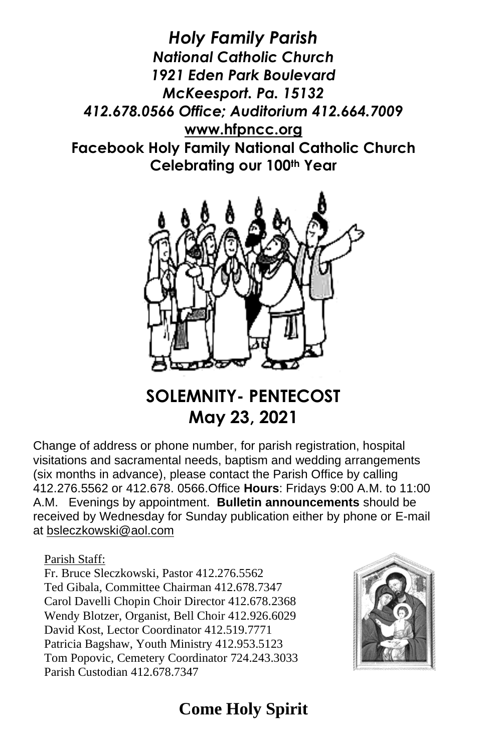*Holy Family Parish National Catholic Church 1921 Eden Park Boulevard McKeesport. Pa. 15132 412.678.0566 Office; Auditorium 412.664.7009* **[www.hfpncc.org](http://www.hfpncc.org/) Facebook Holy Family National Catholic Church Celebrating our 100th Year**



## **SOLEMNITY- PENTECOST May 23, 2021**

Change of address or phone number, for parish registration, hospital visitations and sacramental needs, baptism and wedding arrangements (six months in advance), please contact the Parish Office by calling 412.276.5562 or 412.678. 0566.Office **Hours**: Fridays 9:00 A.M. to 11:00 A.M. Evenings by appointment. **Bulletin announcements** should be received by Wednesday for Sunday publication either by phone or E-mail at [bsleczkowski@aol.com](mailto:bsleczkowski@aol.com)

Parish Staff:

Fr. Bruce Sleczkowski, Pastor 412.276.5562 Ted Gibala, Committee Chairman 412.678.7347 Carol Davelli Chopin Choir Director 412.678.2368 Wendy Blotzer, Organist, Bell Choir 412.926.6029 David Kost, Lector Coordinator 412.519.7771 Patricia Bagshaw, Youth Ministry 412.953.5123 Tom Popovic, Cemetery Coordinator 724.243.3033 Parish Custodian 412.678.7347



# **Come Holy Spirit**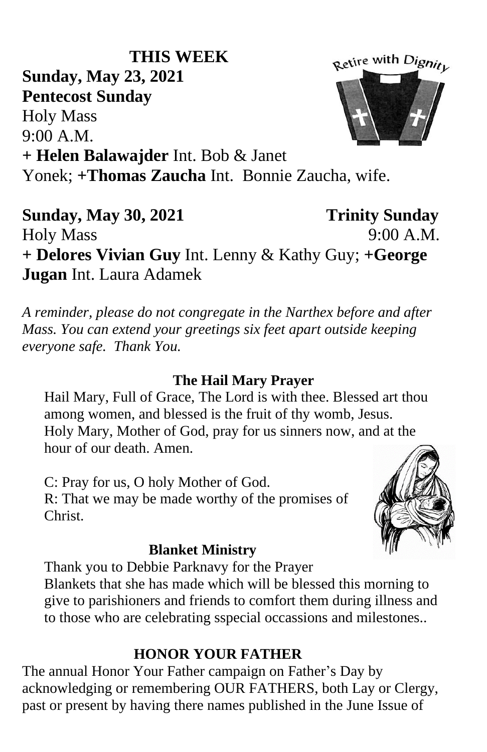#### **THIS WEEK** Retire with Dignity **Sunday, May 23, 2021 Pentecost Sunday** Holy Mass 9:00 A.M. **+ Helen Balawajder** Int. Bob & Janet Yonek; **+Thomas Zaucha** Int. Bonnie Zaucha, wife.

**Sunday, May 30, 2021 Trinity Sunday** Holy Mass 9:00 A.M. **+ Delores Vivian Guy** Int. Lenny & Kathy Guy; **+George Jugan** Int. Laura Adamek

*A reminder, please do not congregate in the Narthex before and after Mass. You can extend your greetings six feet apart outside keeping everyone safe. Thank You.*

### **The Hail Mary Prayer**

Hail Mary, Full of Grace, The Lord is with thee. Blessed art thou among women, and blessed is the fruit of thy womb, Jesus. Holy Mary, Mother of God, pray for us sinners now, and at the hour of our death. Amen.

C: Pray for us, O holy Mother of God. R: That we may be made worthy of the promises of Christ.

### **Blanket Ministry**

Thank you to Debbie Parknavy for the Prayer Blankets that she has made which will be blessed this morning to give to parishioners and friends to comfort them during illness and to those who are celebrating sspecial occassions and milestones..

## **HONOR YOUR FATHER**

The annual Honor Your Father campaign on Father's Day by acknowledging or remembering OUR FATHERS, both Lay or Clergy, past or present by having there names published in the June Issue of